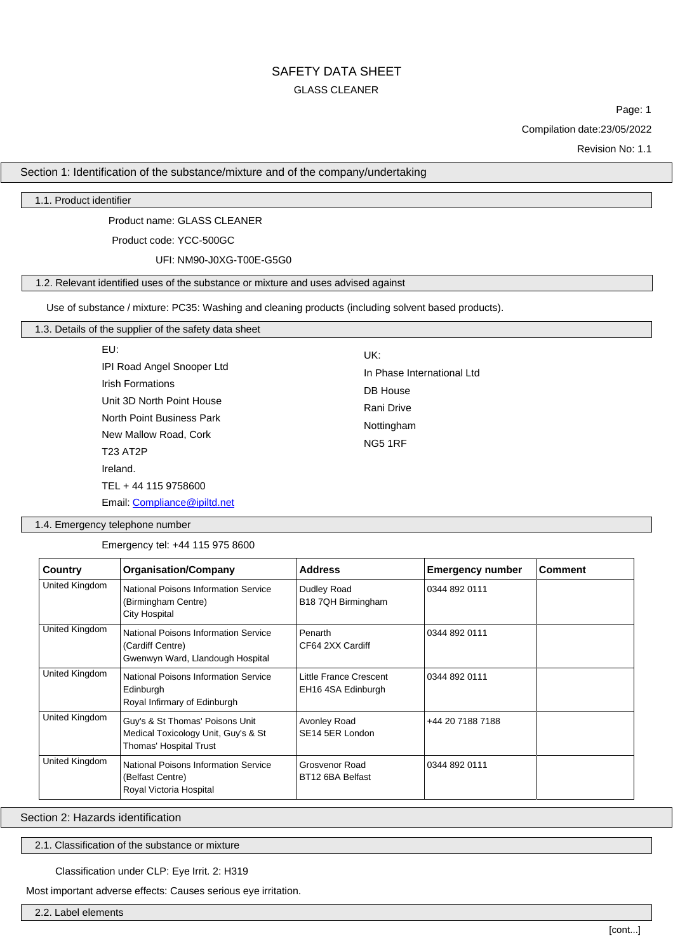## SAFETY DATA SHEET GLASS CLEANER

Page: 1

Compilation date:23/05/2022

Revision No: 1.1

Section 1: Identification of the substance/mixture and of the company/undertaking

1.1. Product identifier

Product name: GLASS CLEANER

Product code: YCC-500GC

UFI: NM90-J0XG-T00E-G5G0

## 1.2. Relevant identified uses of the substance or mixture and uses advised against

Use of substance / mixture: PC35: Washing and cleaning products (including solvent based products).

## 1.3. Details of the supplier of the safety data sheet

| EU:                                                                                                             | UK:                                                  |
|-----------------------------------------------------------------------------------------------------------------|------------------------------------------------------|
| IPI Road Angel Snooper Ltd<br><b>Irish Formations</b><br>Unit 3D North Point House<br>North Point Business Park | In Phase International Ltd<br>DB House<br>Rani Drive |
| New Mallow Road, Cork<br><b>T23 AT2P</b><br>Ireland.                                                            | Nottingham<br><b>NG5 1RF</b>                         |
| TEL + 44 115 9758600<br>Email: Compliance@ipiltd.net                                                            |                                                      |

1.4. Emergency telephone number

Emergency tel: +44 115 975 8600

| Country        | <b>Organisation/Company</b>                                                                         | <b>Address</b>                               | <b>Emergency number</b> | <b>Comment</b> |
|----------------|-----------------------------------------------------------------------------------------------------|----------------------------------------------|-------------------------|----------------|
| United Kingdom | National Poisons Information Service<br>(Birmingham Centre)<br><b>City Hospital</b>                 | Dudley Road<br>B18 7QH Birmingham            | 0344 892 0111           |                |
| United Kingdom | <b>National Poisons Information Service</b><br>(Cardiff Centre)<br>Gwenwyn Ward, Llandough Hospital | Penarth<br>CF64 2XX Cardiff                  | 0344 892 0111           |                |
| United Kingdom | <b>National Poisons Information Service</b><br>Edinburgh<br>Royal Infirmary of Edinburgh            | Little France Crescent<br>EH16 4SA Edinburgh | 0344 892 0111           |                |
| United Kingdom | Guy's & St Thomas' Poisons Unit<br>Medical Toxicology Unit, Guy's & St<br>Thomas' Hospital Trust    | Avonley Road<br>SE14 5ER London              | +44 20 7188 7188        |                |
| United Kingdom | <b>National Poisons Information Service</b><br>(Belfast Centre)<br>Royal Victoria Hospital          | Grosvenor Road<br>BT12 6BA Belfast           | 0344 892 0111           |                |

Section 2: Hazards identification

2.1. Classification of the substance or mixture

#### Classification under CLP: Eye Irrit. 2: H319

Most important adverse effects: Causes serious eye irritation.

2.2. Label elements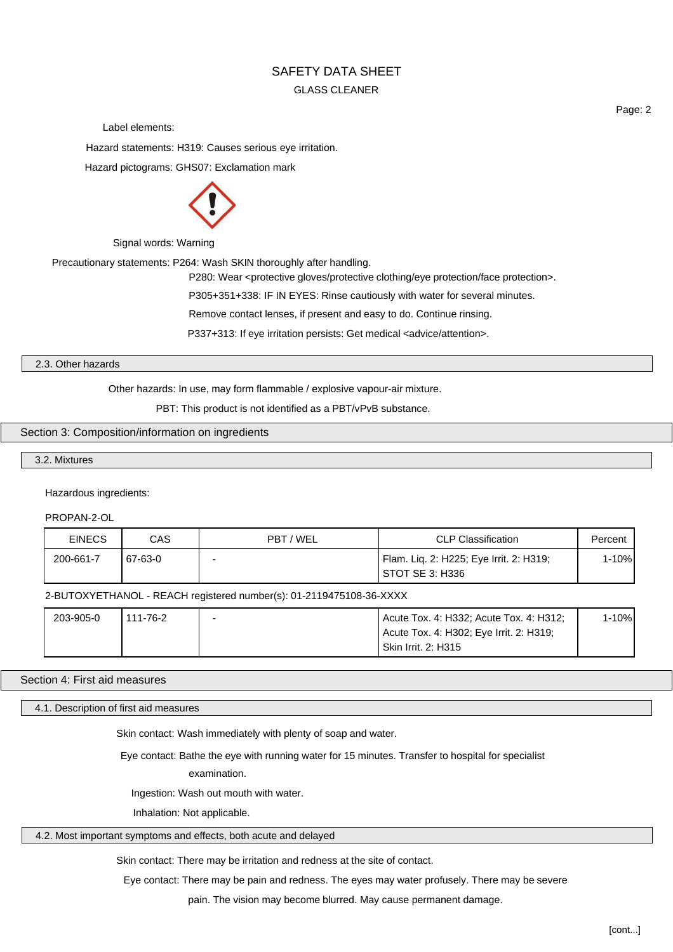## GLASS CLEANER

Label elements:

Hazard statements: H319: Causes serious eye irritation.

Hazard pictograms: GHS07: Exclamation mark



Signal words: Warning

Precautionary statements: P264: Wash SKIN thoroughly after handling.

P280: Wear <protective gloves/protective clothing/eye protection/face protection>.

P305+351+338: IF IN EYES: Rinse cautiously with water for several minutes.

Remove contact lenses, if present and easy to do. Continue rinsing.

P337+313: If eye irritation persists: Get medical <advice/attention>.

#### 2.3. Other hazards

Other hazards: In use, may form flammable / explosive vapour-air mixture.

PBT: This product is not identified as a PBT/vPvB substance.

## Section 3: Composition/information on ingredients

3.2. Mixtures

Hazardous ingredients:

PROPAN-2-OL

| <b>EINECS</b> | CAS     | PBT / WEL | <b>CLP Classification</b>                                    | Percent |
|---------------|---------|-----------|--------------------------------------------------------------|---------|
| 200-661-7     | 67-63-0 |           | Flam. Liq. 2: H225; Eye Irrit. 2: H319;<br>I STOT SE 3: H336 | 1-10%   |

2-BUTOXYETHANOL - REACH registered number(s): 01-2119475108-36-XXXX

| 203-905-0 | 111-76-2 | Acute Tox. 4: H332; Acute Tox. 4: H312; | $1 - 10%$ |
|-----------|----------|-----------------------------------------|-----------|
|           |          | Acute Tox. 4: H302; Eye Irrit. 2: H319; |           |
|           |          | Skin Irrit. 2: H315                     |           |

#### Section 4: First aid measures

4.1. Description of first aid measures

Skin contact: Wash immediately with plenty of soap and water.

Eye contact: Bathe the eye with running water for 15 minutes. Transfer to hospital for specialist

examination.

Ingestion: Wash out mouth with water.

Inhalation: Not applicable.

#### 4.2. Most important symptoms and effects, both acute and delayed

Skin contact: There may be irritation and redness at the site of contact.

Eye contact: There may be pain and redness. The eyes may water profusely. There may be severe

pain. The vision may become blurred. May cause permanent damage.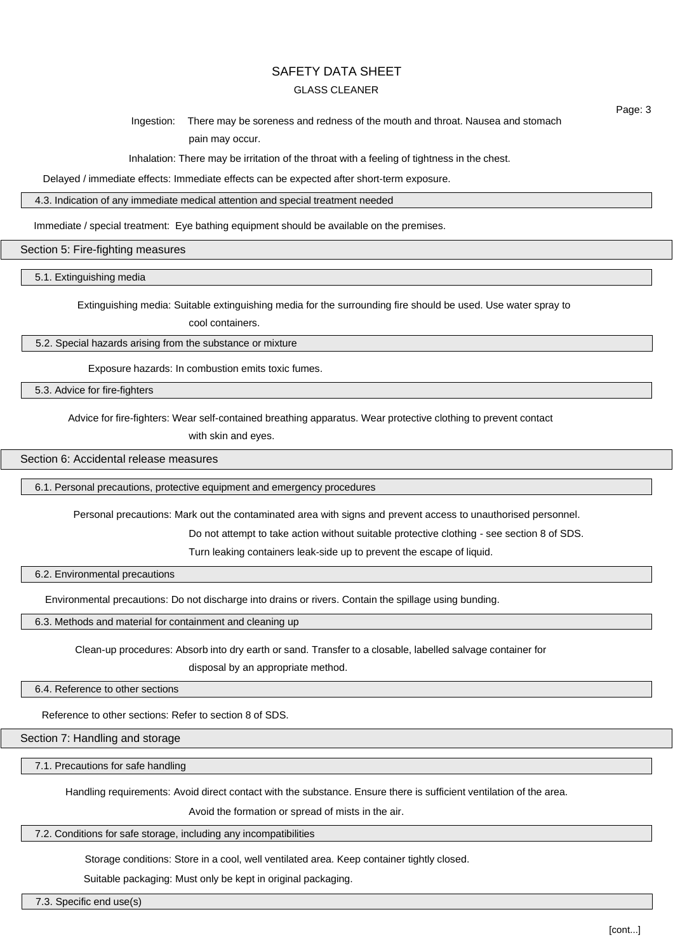#### GLASS CLEANER

Ingestion: There may be soreness and redness of the mouth and throat. Nausea and stomach pain may occur.

Inhalation: There may be irritation of the throat with a feeling of tightness in the chest.

Delayed / immediate effects: Immediate effects can be expected after short-term exposure.

4.3. Indication of any immediate medical attention and special treatment needed

Immediate / special treatment: Eye bathing equipment should be available on the premises.

Section 5: Fire-fighting measures

5.1. Extinguishing media

Extinguishing media: Suitable extinguishing media for the surrounding fire should be used. Use water spray to

cool containers.

5.2. Special hazards arising from the substance or mixture

Exposure hazards: In combustion emits toxic fumes.

5.3. Advice for fire-fighters

Advice for fire-fighters: Wear self-contained breathing apparatus. Wear protective clothing to prevent contact

with skin and eyes.

Section 6: Accidental release measures

6.1. Personal precautions, protective equipment and emergency procedures

Personal precautions: Mark out the contaminated area with signs and prevent access to unauthorised personnel.

Do not attempt to take action without suitable protective clothing - see section 8 of SDS.

Turn leaking containers leak-side up to prevent the escape of liquid.

6.2. Environmental precautions

Environmental precautions: Do not discharge into drains or rivers. Contain the spillage using bunding.

6.3. Methods and material for containment and cleaning up

Clean-up procedures: Absorb into dry earth or sand. Transfer to a closable, labelled salvage container for

disposal by an appropriate method.

6.4. Reference to other sections

Reference to other sections: Refer to section 8 of SDS.

Section 7: Handling and storage

7.1. Precautions for safe handling

Handling requirements: Avoid direct contact with the substance. Ensure there is sufficient ventilation of the area.

Avoid the formation or spread of mists in the air.

7.2. Conditions for safe storage, including any incompatibilities

Storage conditions: Store in a cool, well ventilated area. Keep container tightly closed.

Suitable packaging: Must only be kept in original packaging.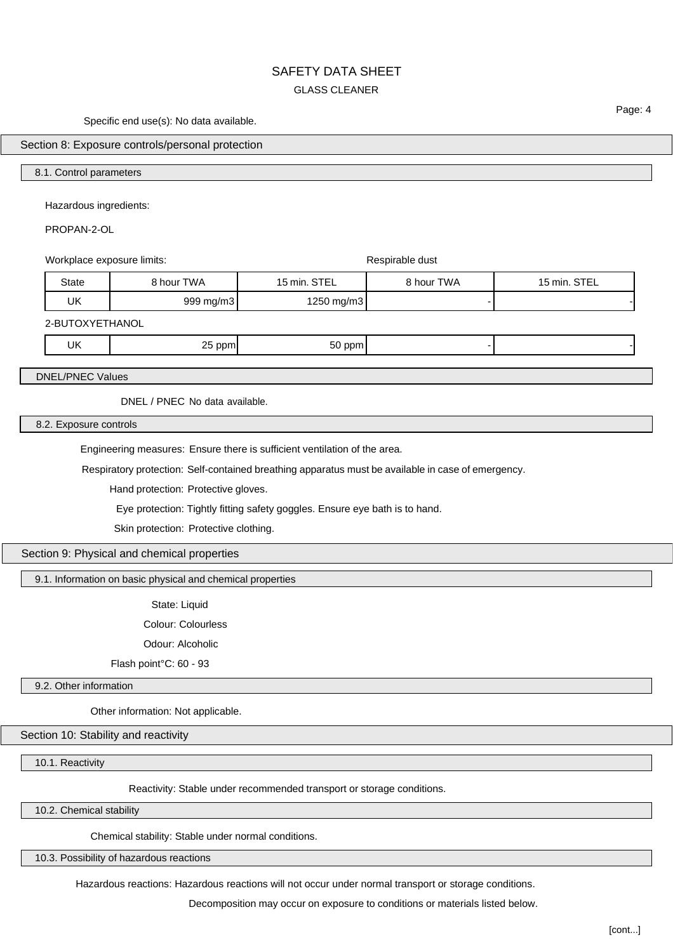## SAFETY DATA SHEET GLASS CLEANER

Specific end use(s): No data available.

Section 8: Exposure controls/personal protection

#### 8.1. Control parameters

Hazardous ingredients:

PROPAN-2-OL

Workplace exposure limits:  $\blacksquare$ State | 8 hour TWA | 15 min. STEL | 8 hour TWA | 15 min. STEL UK 999 mg/m3 1250 mg/m3 - -

2-BUTOXYETHANOL

UK 25 ppm 50 ppm - -

DNEL/PNEC Values

DNEL / PNEC No data available.

8.2. Exposure controls

Engineering measures: Ensure there is sufficient ventilation of the area.

Respiratory protection: Self-contained breathing apparatus must be available in case of emergency.

Hand protection: Protective gloves.

Eye protection: Tightly fitting safety goggles. Ensure eye bath is to hand.

Skin protection: Protective clothing.

Section 9: Physical and chemical properties

9.1. Information on basic physical and chemical properties

State: Liquid

Colour: Colourless

Odour: Alcoholic

Flash point°C: 60 - 93

9.2. Other information

Other information: Not applicable.

Section 10: Stability and reactivity

10.1. Reactivity

Reactivity: Stable under recommended transport or storage conditions.

10.2. Chemical stability

Chemical stability: Stable under normal conditions.

10.3. Possibility of hazardous reactions

Hazardous reactions: Hazardous reactions will not occur under normal transport or storage conditions.

Decomposition may occur on exposure to conditions or materials listed below.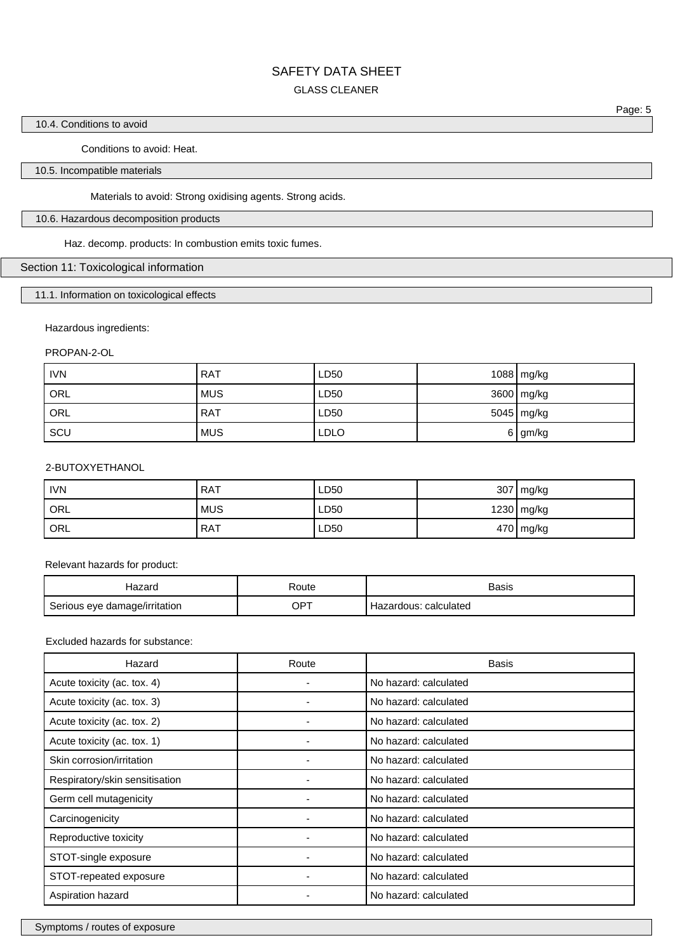#### GLASS CLEANER

Page: 5

 $\mathcal{C}^{\text{c}}_{\text{c}}$ 

#### 10.4. Conditions to avoid

Conditions to avoid: Heat.

#### 10.5. Incompatible materials

Materials to avoid: Strong oxidising agents. Strong acids.

#### 10.6. Hazardous decomposition products

Haz. decomp. products: In combustion emits toxic fumes.

#### Section 11: Toxicological information

## 11.1. Information on toxicological effects

#### Hazardous ingredients:

PROPAN-2-OL

| <b>IVN</b> | <b>RAT</b> | LD50        | 1088 mg/kg |
|------------|------------|-------------|------------|
| ORL        | <b>MUS</b> | LD50        | 3600 mg/kg |
| ORL        | <b>RAT</b> | LD50        | 5045 mg/kg |
| SCU        | <b>MUS</b> | <b>LDLO</b> | 6 gm/kg    |

#### 2-BUTOXYETHANOL

| <b>IVN</b> | <b>RAT</b> | LD50 | 307 | '   mg/kg  |
|------------|------------|------|-----|------------|
| ORL        | <b>MUS</b> | LD50 |     | 1230 mg/kg |
| ORL        | <b>RAT</b> | LD50 |     | 470 mg/kg  |

Relevant hazards for product:

| Hazaro                        | Route | Basis                    |
|-------------------------------|-------|--------------------------|
| Serious eye damage/irritation | OPT   | calculated<br>Hazardous: |

Excluded hazards for substance:

| Hazard                         | Route | <b>Basis</b>          |
|--------------------------------|-------|-----------------------|
| Acute toxicity (ac. tox. 4)    | ۰     | No hazard: calculated |
| Acute toxicity (ac. tox. 3)    |       | No hazard: calculated |
| Acute toxicity (ac. tox. 2)    |       | No hazard: calculated |
| Acute toxicity (ac. tox. 1)    |       | No hazard: calculated |
| Skin corrosion/irritation      |       | No hazard: calculated |
| Respiratory/skin sensitisation |       | No hazard: calculated |
| Germ cell mutagenicity         |       | No hazard: calculated |
| Carcinogenicity                |       | No hazard: calculated |
| Reproductive toxicity          |       | No hazard: calculated |
| STOT-single exposure           |       | No hazard: calculated |
| STOT-repeated exposure         |       | No hazard: calculated |
| Aspiration hazard              |       | No hazard: calculated |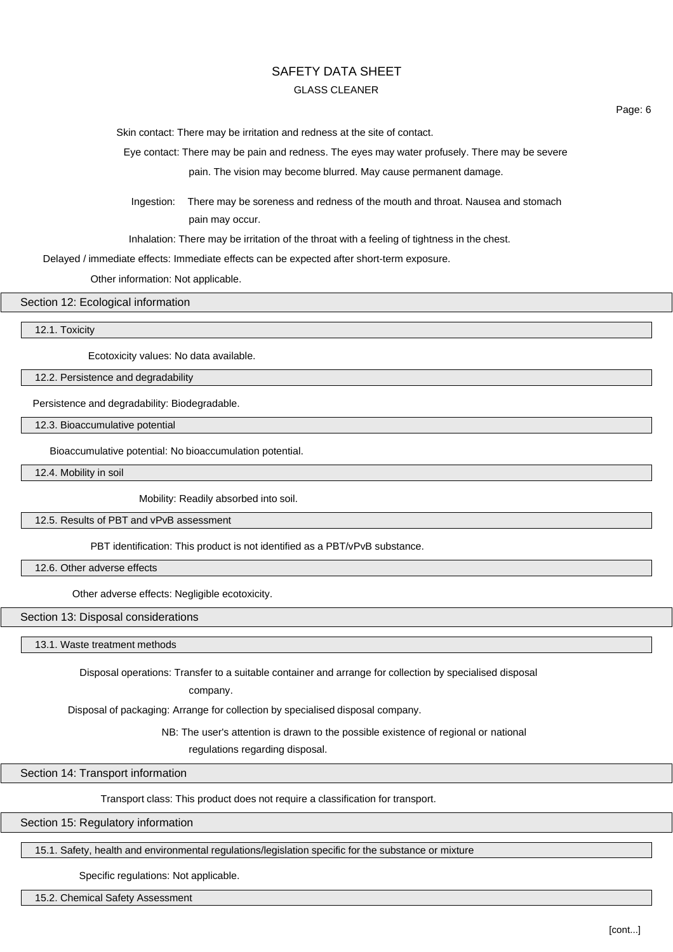## GLASS CLEANER

Skin contact: There may be irritation and redness at the site of contact.

Eye contact: There may be pain and redness. The eyes may water profusely. There may be severe pain. The vision may become blurred. May cause permanent damage.

Ingestion: There may be soreness and redness of the mouth and throat. Nausea and stomach pain may occur.

Inhalation: There may be irritation of the throat with a feeling of tightness in the chest.

Delayed / immediate effects: Immediate effects can be expected after short-term exposure.

Other information: Not applicable.

#### Section 12: Ecological information

12.1. Toxicity

Ecotoxicity values: No data available.

12.2. Persistence and degradability

Persistence and degradability: Biodegradable.

12.3. Bioaccumulative potential

Bioaccumulative potential: No bioaccumulation potential.

12.4. Mobility in soil

Mobility: Readily absorbed into soil.

12.5. Results of PBT and vPvB assessment

PBT identification: This product is not identified as a PBT/vPvB substance.

12.6. Other adverse effects

Other adverse effects: Negligible ecotoxicity.

Section 13: Disposal considerations

13.1. Waste treatment methods

Disposal operations: Transfer to a suitable container and arrange for collection by specialised disposal

company.

Disposal of packaging: Arrange for collection by specialised disposal company.

NB: The user's attention is drawn to the possible existence of regional or national

regulations regarding disposal.

Section 14: Transport information

Transport class: This product does not require a classification for transport.

Section 15: Regulatory information

15.1. Safety, health and environmental regulations/legislation specific for the substance or mixture

Specific regulations: Not applicable.

15.2. Chemical Safety Assessment